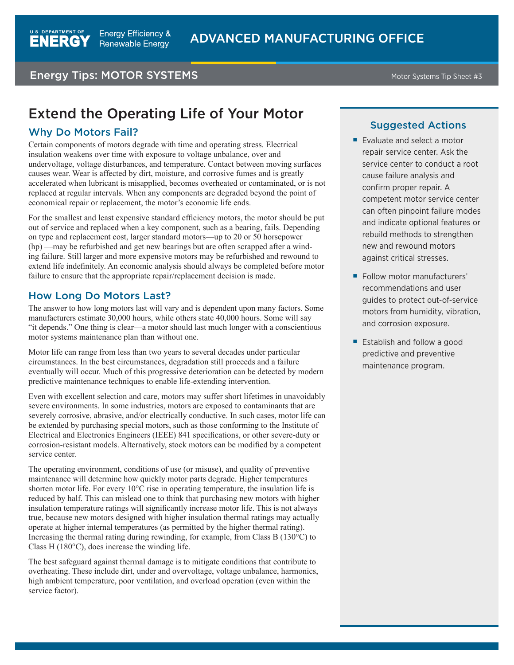# **Energy Tips: MOTOR SYSTEMS** Motor Systems Tip Sheet #3

# Extend the Operating Life of Your Motor

### Why Do Motors Fail?

Certain components of motors degrade with time and operating stress. Electrical insulation weakens over time with exposure to voltage unbalance, over and undervoltage, voltage disturbances, and temperature. Contact between moving surfaces causes wear. Wear is affected by dirt, moisture, and corrosive fumes and is greatly accelerated when lubricant is misapplied, becomes overheated or contaminated, or is not replaced at regular intervals. When any components are degraded beyond the point of economical repair or replacement, the motor's economic life ends.

For the smallest and least expensive standard efficiency motors, the motor should be put out of service and replaced when a key component, such as a bearing, fails. Depending on type and replacement cost, larger standard motors—up to 20 or 50 horsepower (hp) —may be refurbished and get new bearings but are often scrapped after a winding failure. Still larger and more expensive motors may be refurbished and rewound to extend life indefinitely. An economic analysis should always be completed before motor failure to ensure that the appropriate repair/replacement decision is made.

## How Long Do Motors Last?

The answer to how long motors last will vary and is dependent upon many factors. Some manufacturers estimate 30,000 hours, while others state 40,000 hours. Some will say "it depends." One thing is clear—a motor should last much longer with a conscientious motor systems maintenance plan than without one.

Motor life can range from less than two years to several decades under particular circumstances. In the best circumstances, degradation still proceeds and a failure eventually will occur. Much of this progressive deterioration can be detected by modern predictive maintenance techniques to enable life-extending intervention.

Even with excellent selection and care, motors may suffer short lifetimes in unavoidably severe environments. In some industries, motors are exposed to contaminants that are severely corrosive, abrasive, and/or electrically conductive. In such cases, motor life can be extended by purchasing special motors, such as those conforming to the Institute of Electrical and Electronics Engineers (IEEE) 841 specifications, or other severe-duty or corrosion-resistant models. Alternatively, stock motors can be modified by a competent service center.

The operating environment, conditions of use (or misuse), and quality of preventive maintenance will determine how quickly motor parts degrade. Higher temperatures shorten motor life. For every 10°C rise in operating temperature, the insulation life is reduced by half. This can mislead one to think that purchasing new motors with higher insulation temperature ratings will significantly increase motor life. This is not always true, because new motors designed with higher insulation thermal ratings may actually operate at higher internal temperatures (as permitted by the higher thermal rating). Increasing the thermal rating during rewinding, for example, from Class B (130°C) to Class H (180°C), does increase the winding life.

The best safeguard against thermal damage is to mitigate conditions that contribute to overheating. These include dirt, under and overvoltage, voltage unbalance, harmonics, high ambient temperature, poor ventilation, and overload operation (even within the service factor).

#### Suggested Actions

- Evaluate and select a motor repair service center. Ask the service center to conduct a root cause failure analysis and confirm proper repair. A competent motor service center can often pinpoint failure modes and indicate optional features or rebuild methods to strengthen new and rewound motors against critical stresses.
- Follow motor manufacturers' recommendations and user guides to protect out-of-service motors from humidity, vibration, and corrosion exposure.
- Establish and follow a good predictive and preventive maintenance program.